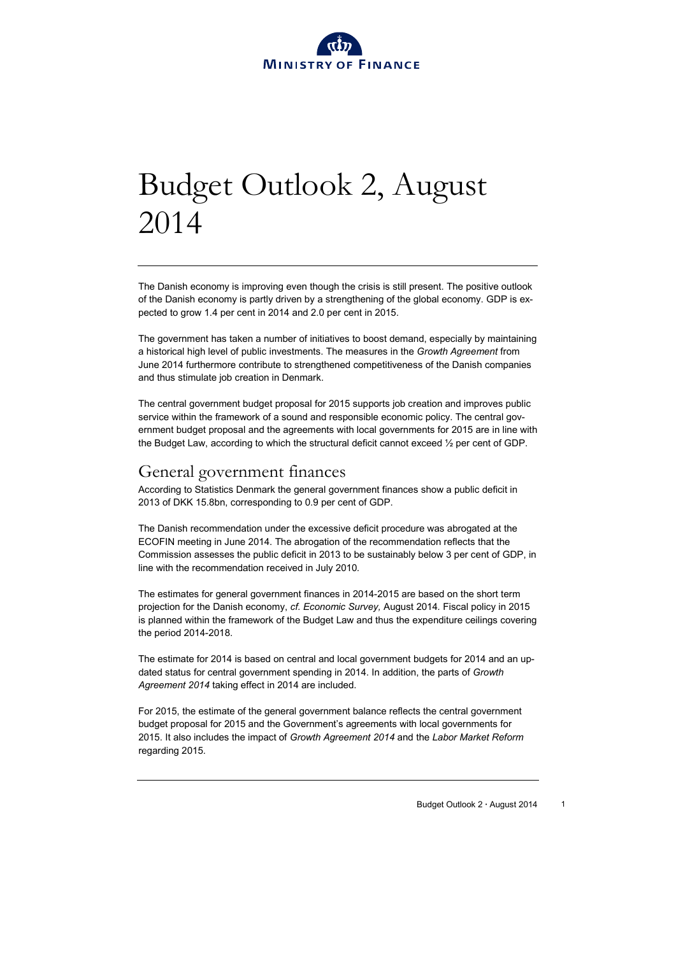

# Budget Outlook 2, August 2014

The Danish economy is improving even though the crisis is still present. The positive outlook of the Danish economy is partly driven by a strengthening of the global economy. GDP is expected to grow 1.4 per cent in 2014 and 2.0 per cent in 2015.

The government has taken a number of initiatives to boost demand, especially by maintaining a historical high level of public investments. The measures in the *Growth Agreement* from June 2014 furthermore contribute to strengthened competitiveness of the Danish companies and thus stimulate job creation in Denmark.

The central government budget proposal for 2015 supports job creation and improves public service within the framework of a sound and responsible economic policy. The central government budget proposal and the agreements with local governments for 2015 are in line with the Budget Law, according to which the structural deficit cannot exceed ½ per cent of GDP.

## General government finances

According to Statistics Denmark the general government finances show a public deficit in 2013 of DKK 15.8bn, corresponding to 0.9 per cent of GDP.

The Danish recommendation under the excessive deficit procedure was abrogated at the ECOFIN meeting in June 2014. The abrogation of the recommendation reflects that the Commission assesses the public deficit in 2013 to be sustainably below 3 per cent of GDP, in line with the recommendation received in July 2010*.*

The estimates for general government finances in 2014-2015 are based on the short term projection for the Danish economy, *cf. Economic Survey,* August 2014*.* Fiscal policy in 2015 is planned within the framework of the Budget Law and thus the expenditure ceilings covering the period 2014-2018.

The estimate for 2014 is based on central and local government budgets for 2014 and an updated status for central government spending in 2014. In addition, the parts of *Growth Agreement 2014* taking effect in 2014 are included.

For 2015, the estimate of the general government balance reflects the central government budget proposal for 2015 and the Government's agreements with local governments for 2015. It also includes the impact of *Growth Agreement 2014* and the *Labor Market Reform* regarding 2015*.*

Budget Outlook 2 **∙** August 2014 1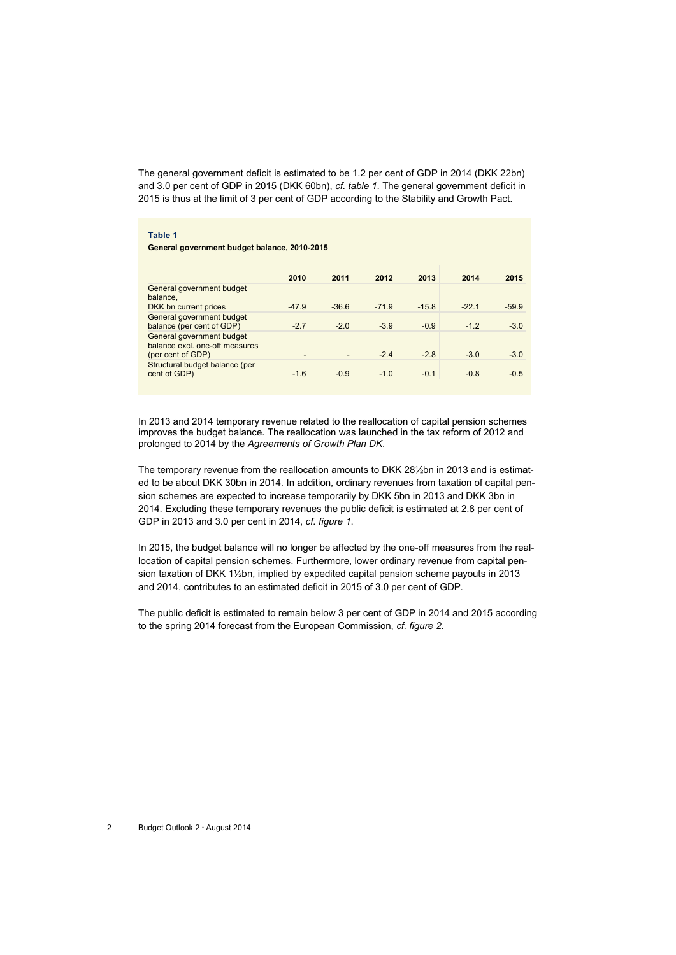The general government deficit is estimated to be 1.2 per cent of GDP in 2014 (DKK 22bn) and 3.0 per cent of GDP in 2015 (DKK 60bn), *cf. table 1*. The general government deficit in 2015 is thus at the limit of 3 per cent of GDP according to the Stability and Growth Pact.

| 2010 | 2011 | 2012 |
|------|------|------|

|                                                                                  | 2010                     | 2011    | 2012    | 2013    | 2014   | 2015    |
|----------------------------------------------------------------------------------|--------------------------|---------|---------|---------|--------|---------|
| General government budget<br>balance.                                            |                          |         |         |         |        |         |
| DKK bn current prices                                                            | $-47.9$                  | $-36.6$ | $-71.9$ | $-15.8$ | $-221$ | $-59.9$ |
| General government budget<br>balance (per cent of GDP)                           | $-2.7$                   | $-2.0$  | $-3.9$  | $-0.9$  | $-1.2$ | $-3.0$  |
| General government budget<br>balance excl. one-off measures<br>(per cent of GDP) | $\overline{\phantom{a}}$ |         | $-24$   | $-2.8$  | $-3.0$ | $-3.0$  |
| Structural budget balance (per<br>cent of GDP)                                   | $-1.6$                   | $-0.9$  | $-1.0$  | $-0.1$  | $-0.8$ | $-0.5$  |
|                                                                                  |                          |         |         |         |        |         |

In 2013 and 2014 temporary revenue related to the reallocation of capital pension schemes improves the budget balance. The reallocation was launched in the tax reform of 2012 and prolonged to 2014 by the *Agreements of Growth Plan DK*.

The temporary revenue from the reallocation amounts to DKK 28½bn in 2013 and is estimated to be about DKK 30bn in 2014. In addition, ordinary revenues from taxation of capital pension schemes are expected to increase temporarily by DKK 5bn in 2013 and DKK 3bn in 2014. Excluding these temporary revenues the public deficit is estimated at 2.8 per cent of GDP in 2013 and 3.0 per cent in 2014, *cf. figure 1*.

In 2015, the budget balance will no longer be affected by the one-off measures from the reallocation of capital pension schemes. Furthermore, lower ordinary revenue from capital pension taxation of DKK 1½bn, implied by expedited capital pension scheme payouts in 2013 and 2014, contributes to an estimated deficit in 2015 of 3.0 per cent of GDP*.*

The public deficit is estimated to remain below 3 per cent of GDP in 2014 and 2015 according to the spring 2014 forecast from the European Commission, *cf. figure 2*.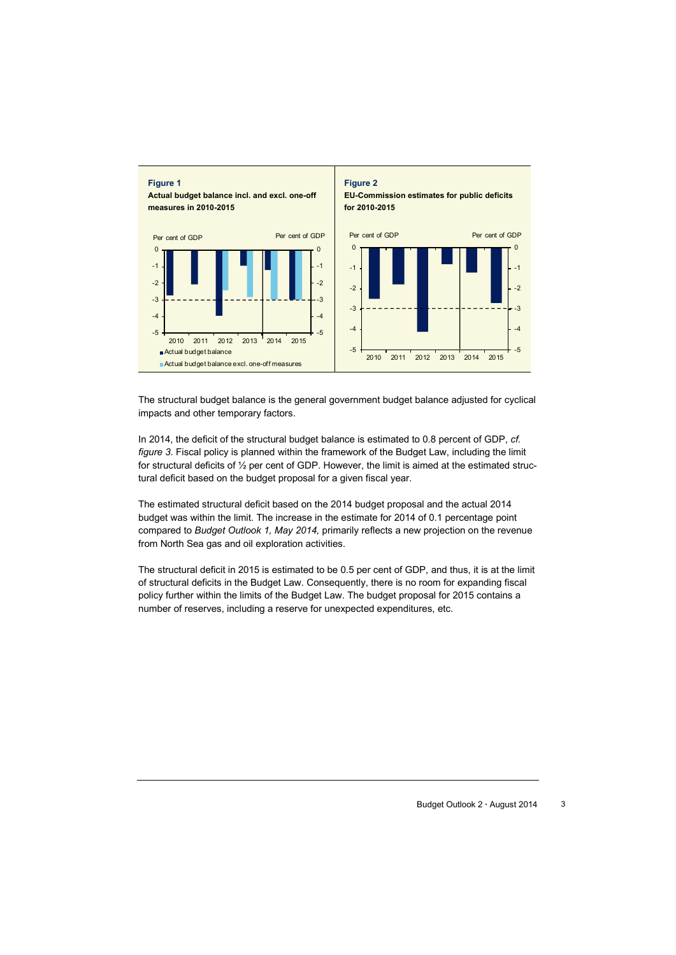

The structural budget balance is the general government budget balance adjusted for cyclical impacts and other temporary factors.

In 2014, the deficit of the structural budget balance is estimated to 0.8 percent of GDP, *cf. figure 3*. Fiscal policy is planned within the framework of the Budget Law, including the limit for structural deficits of ½ per cent of GDP. However, the limit is aimed at the estimated structural deficit based on the budget proposal for a given fiscal year.

The estimated structural deficit based on the 2014 budget proposal and the actual 2014 budget was within the limit. The increase in the estimate for 2014 of 0.1 percentage point compared to *Budget Outlook 1, May 2014,* primarily reflects a new projection on the revenue from North Sea gas and oil exploration activities.

The structural deficit in 2015 is estimated to be 0.5 per cent of GDP, and thus, it is at the limit of structural deficits in the Budget Law. Consequently, there is no room for expanding fiscal policy further within the limits of the Budget Law. The budget proposal for 2015 contains a number of reserves, including a reserve for unexpected expenditures, etc.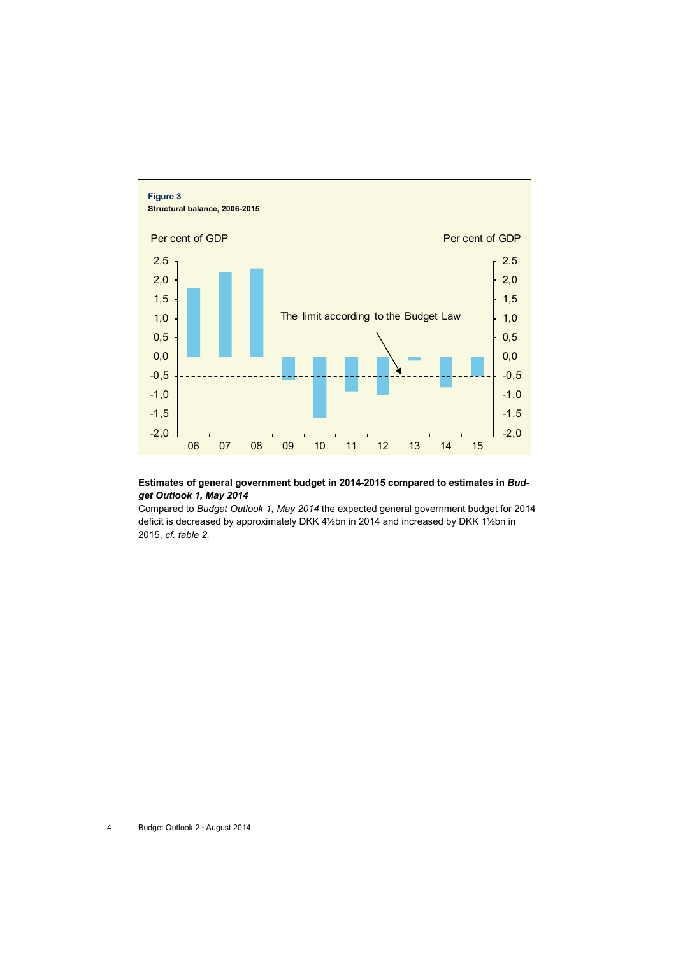

#### **Estimates of general government budget in 2014-2015 compared to estimates in** *Budget Outlook 1, May 2014*

Compared to *Budget Outlook 1, May 2014* the expected general government budget for 2014 deficit is decreased by approximately DKK 4½bn in 2014 and increased by DKK 1½bn in 2015, *cf. table 2.*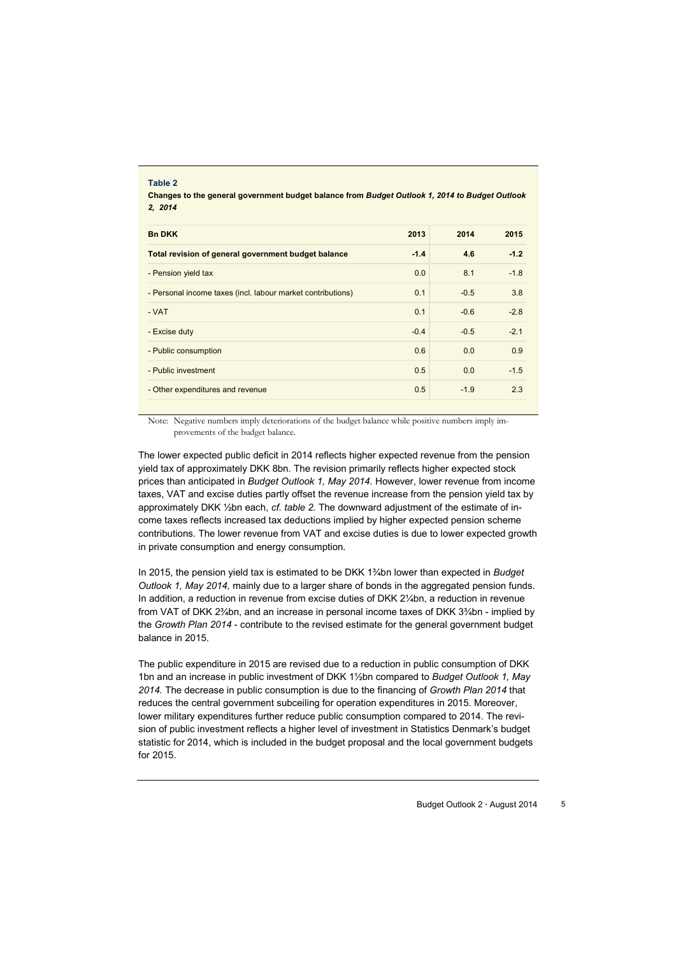| <b>Bn DKK</b>                                               | 2013   | 2014   | 2015   |
|-------------------------------------------------------------|--------|--------|--------|
| Total revision of general government budget balance         | $-1.4$ | 4.6    | $-1.2$ |
| - Pension yield tax                                         | 0.0    | 8.1    | $-1.8$ |
| - Personal income taxes (incl. labour market contributions) | 0.1    | $-0.5$ | 3.8    |
| - VAT                                                       | 0.1    | $-0.6$ | $-2.8$ |
| - Excise duty                                               | $-0.4$ | $-0.5$ | $-2.1$ |
| - Public consumption                                        | 0.6    | 0.0    | 0.9    |
| - Public investment                                         | 0.5    | 0.0    | $-1.5$ |
| - Other expenditures and revenue                            | 0.5    | $-1.9$ | 2.3    |

**Table 2**

Note: Negative numbers imply deteriorations of the budget balance while positive numbers imply improvements of the budget balance.

The lower expected public deficit in 2014 reflects higher expected revenue from the pension yield tax of approximately DKK 8bn. The revision primarily reflects higher expected stock prices than anticipated in *Budget Outlook 1, May 2014*. However, lower revenue from income taxes, VAT and excise duties partly offset the revenue increase from the pension yield tax by approximately DKK ½bn each, *cf. table 2.* The downward adjustment of the estimate of income taxes reflects increased tax deductions implied by higher expected pension scheme contributions. The lower revenue from VAT and excise duties is due to lower expected growth in private consumption and energy consumption.

In 2015, the pension yield tax is estimated to be DKK 1¾bn lower than expected in *Budget Outlook 1, May 2014,* mainly due to a larger share of bonds in the aggregated pension funds. In addition, a reduction in revenue from excise duties of DKK 2¼bn, a reduction in revenue from VAT of DKK 2¾bn, and an increase in personal income taxes of DKK 3¾bn - implied by the *Growth Plan 2014* - contribute to the revised estimate for the general government budget balance in 2015.

The public expenditure in 2015 are revised due to a reduction in public consumption of DKK 1bn and an increase in public investment of DKK 1½bn compared to *Budget Outlook 1, May 2014.* The decrease in public consumption is due to the financing of *Growth Plan 2014* that reduces the central government subceiling for operation expenditures in 2015. Moreover, lower military expenditures further reduce public consumption compared to 2014. The revision of public investment reflects a higher level of investment in Statistics Denmark's budget statistic for 2014, which is included in the budget proposal and the local government budgets for 2015.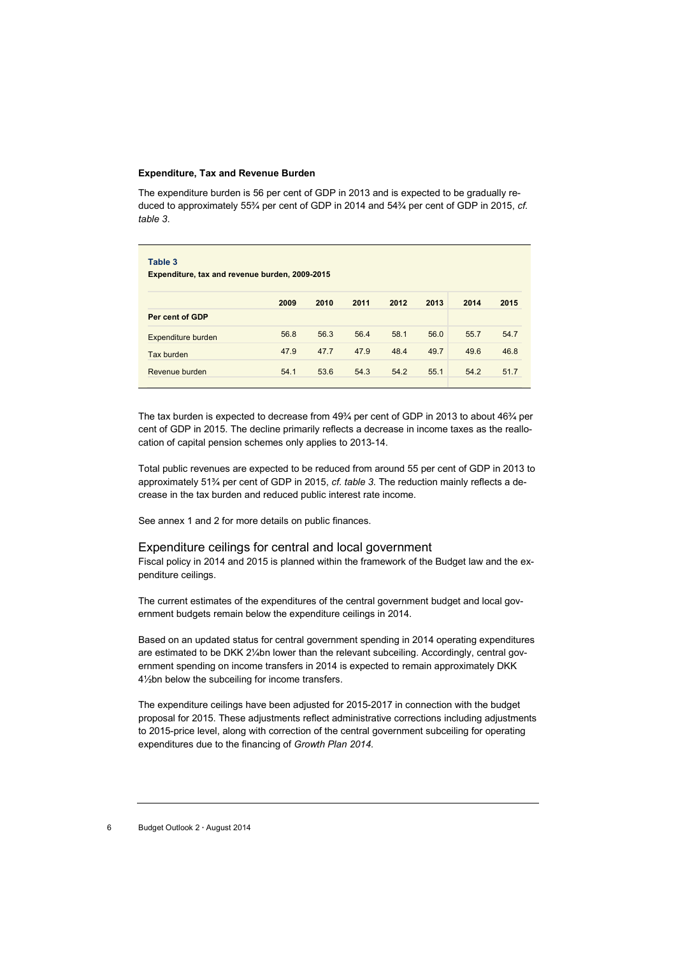#### **Expenditure, Tax and Revenue Burden**

The expenditure burden is 56 per cent of GDP in 2013 and is expected to be gradually reduced to approximately 55¾ per cent of GDP in 2014 and 54¾ per cent of GDP in 2015, *cf. table 3*.

| Table 3<br>Expenditure, tax and revenue burden, 2009-2015 |      |      |      |      |      |      |      |  |
|-----------------------------------------------------------|------|------|------|------|------|------|------|--|
|                                                           | 2009 | 2010 | 2011 | 2012 | 2013 | 2014 | 2015 |  |
| Per cent of GDP                                           |      |      |      |      |      |      |      |  |
| Expenditure burden                                        | 56.8 | 56.3 | 56.4 | 58.1 | 56.0 | 55.7 | 54.7 |  |
| Tax burden                                                | 47.9 | 47.7 | 47.9 | 48.4 | 49.7 | 49.6 | 46.8 |  |
| Revenue burden                                            | 54.1 | 53.6 | 54.3 | 54.2 | 55.1 | 54.2 | 51.7 |  |

The tax burden is expected to decrease from  $49\frac{3}{4}$  per cent of GDP in 2013 to about  $46\frac{3}{4}$  per cent of GDP in 2015. The decline primarily reflects a decrease in income taxes as the reallocation of capital pension schemes only applies to 2013-14.

Total public revenues are expected to be reduced from around 55 per cent of GDP in 2013 to approximately 51¾ per cent of GDP in 2015, *cf. table 3*. The reduction mainly reflects a decrease in the tax burden and reduced public interest rate income.

See annex 1 and 2 for more details on public finances.

#### Expenditure ceilings for central and local government

Fiscal policy in 2014 and 2015 is planned within the framework of the Budget law and the expenditure ceilings.

The current estimates of the expenditures of the central government budget and local government budgets remain below the expenditure ceilings in 2014.

Based on an updated status for central government spending in 2014 operating expenditures are estimated to be DKK 2¼bn lower than the relevant subceiling. Accordingly, central government spending on income transfers in 2014 is expected to remain approximately DKK 4½bn below the subceiling for income transfers.

The expenditure ceilings have been adjusted for 2015-2017 in connection with the budget proposal for 2015. These adjustments reflect administrative corrections including adjustments to 2015-price level, along with correction of the central government subceiling for operating expenditures due to the financing of *Growth Plan 2014.*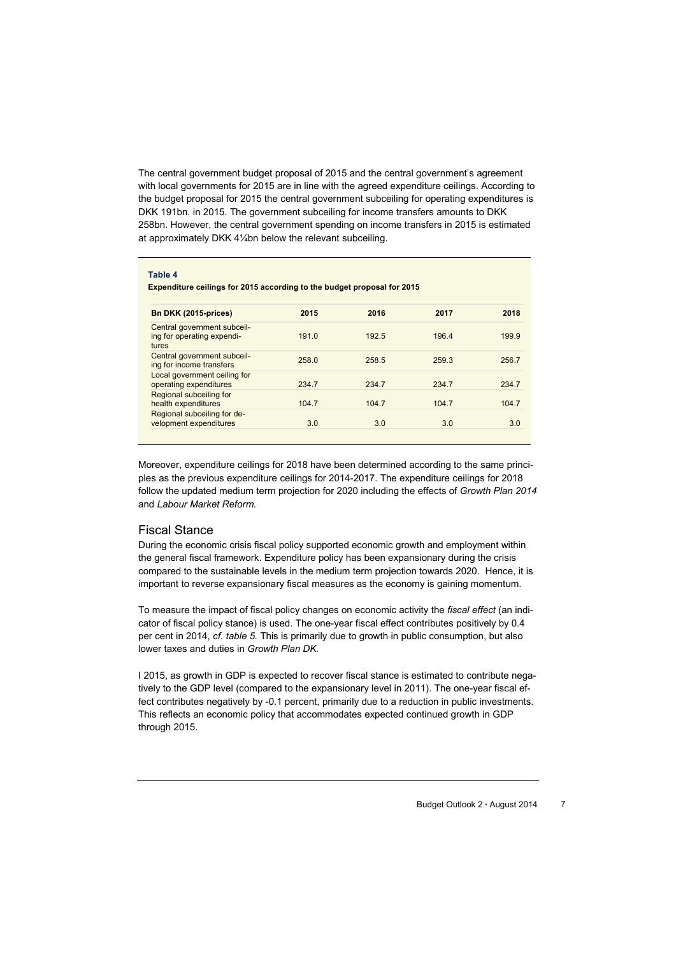The central government budget proposal of 2015 and the central government's agreement with local governments for 2015 are in line with the agreed expenditure ceilings. According to the budget proposal for 2015 the central government subceiling for operating expenditures is DKK 191bn. in 2015. The government subceiling for income transfers amounts to DKK 258bn. However, the central government spending on income transfers in 2015 is estimated at approximately DKK 4¼bn below the relevant subceiling.

| Table 4<br>Expenditure ceilings for 2015 according to the budget proposal for 2015 |       |       |       |       |  |  |  |  |
|------------------------------------------------------------------------------------|-------|-------|-------|-------|--|--|--|--|
| Bn DKK (2015-prices)                                                               | 2015  | 2016  | 2017  | 2018  |  |  |  |  |
| Central government subceil-<br>ing for operating expendi-<br>tures                 | 191.0 | 192.5 | 196.4 | 199.9 |  |  |  |  |
| Central government subceil-<br>ing for income transfers                            | 258.0 | 258.5 | 259.3 | 256.7 |  |  |  |  |
| Local government ceiling for<br>operating expenditures                             | 234.7 | 234.7 | 234.7 | 234.7 |  |  |  |  |
| Regional subceiling for<br>health expenditures                                     | 104.7 | 104.7 | 104.7 | 104.7 |  |  |  |  |
| Regional subceiling for de-<br>velopment expenditures                              | 3.0   | 3.0   | 3.0   | 3.0   |  |  |  |  |

Moreover, expenditure ceilings for 2018 have been determined according to the same principles as the previous expenditure ceilings for 2014-2017. The expenditure ceilings for 2018 follow the updated medium term projection for 2020 including the effects of *Growth Plan 2014*  and *Labour Market Reform.*

#### Fiscal Stance

During the economic crisis fiscal policy supported economic growth and employment within the general fiscal framework. Expenditure policy has been expansionary during the crisis compared to the sustainable levels in the medium term projection towards 2020. Hence, it is important to reverse expansionary fiscal measures as the economy is gaining momentum.

To measure the impact of fiscal policy changes on economic activity the *fiscal effect* (an indicator of fiscal policy stance) is used. The one-year fiscal effect contributes positively by 0.4 per cent in 2014, *cf. table 5.* This is primarily due to growth in public consumption, but also lower taxes and duties in *Growth Plan DK.* 

I 2015, as growth in GDP is expected to recover fiscal stance is estimated to contribute negatively to the GDP level (compared to the expansionary level in 2011). The one-year fiscal effect contributes negatively by -0.1 percent, primarily due to a reduction in public investments. This reflects an economic policy that accommodates expected continued growth in GDP through 2015.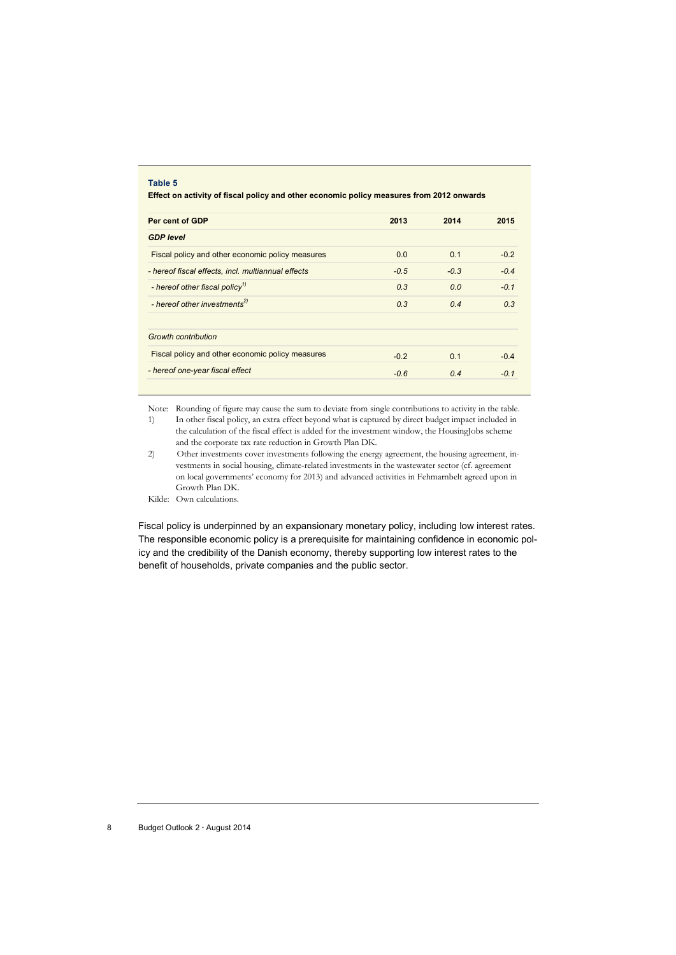| Table 5<br>Effect on activity of fiscal policy and other economic policy measures from 2012 onwards |        |        |        |  |  |  |  |
|-----------------------------------------------------------------------------------------------------|--------|--------|--------|--|--|--|--|
| Per cent of GDP                                                                                     | 2013   | 2014   | 2015   |  |  |  |  |
| <b>GDP level</b>                                                                                    |        |        |        |  |  |  |  |
| Fiscal policy and other economic policy measures                                                    | 0.0    | 0.1    | $-0.2$ |  |  |  |  |
| - hereof fiscal effects, incl. multiannual effects                                                  | $-0.5$ | $-0.3$ | $-0.4$ |  |  |  |  |
| - hereof other fiscal policy <sup>1)</sup>                                                          | 0.3    | 0.0    | $-0.1$ |  |  |  |  |
| - hereof other investments <sup>2)</sup>                                                            | 0.3    | 0.4    | 0.3    |  |  |  |  |
| <b>Growth contribution</b>                                                                          |        |        |        |  |  |  |  |
| Fiscal policy and other economic policy measures                                                    | $-0.2$ | 0.1    | $-0.4$ |  |  |  |  |
| - hereof one-year fiscal effect                                                                     | $-0.6$ | 0.4    | $-0.1$ |  |  |  |  |

Note: Rounding of figure may cause the sum to deviate from single contributions to activity in the table.<br>1) In other fiscal policy, an extra effect beyond what is captured by direct budget impact included in In other fiscal policy, an extra effect beyond what is captured by direct budget impact included in the calculation of the fiscal effect is added for the investment window, the HousingJobs scheme

- and the corporate tax rate reduction in Growth Plan DK. 2) Other investments cover investments following the energy agreement, the housing agreement, investments in social housing, climate-related investments in the wastewater sector (cf. agreement on local governments' economy for 2013) and advanced activities in Fehmarnbelt agreed upon in Growth Plan DK.
- Kilde: Own calculations.

Fiscal policy is underpinned by an expansionary monetary policy, including low interest rates. The responsible economic policy is a prerequisite for maintaining confidence in economic policy and the credibility of the Danish economy, thereby supporting low interest rates to the benefit of households, private companies and the public sector.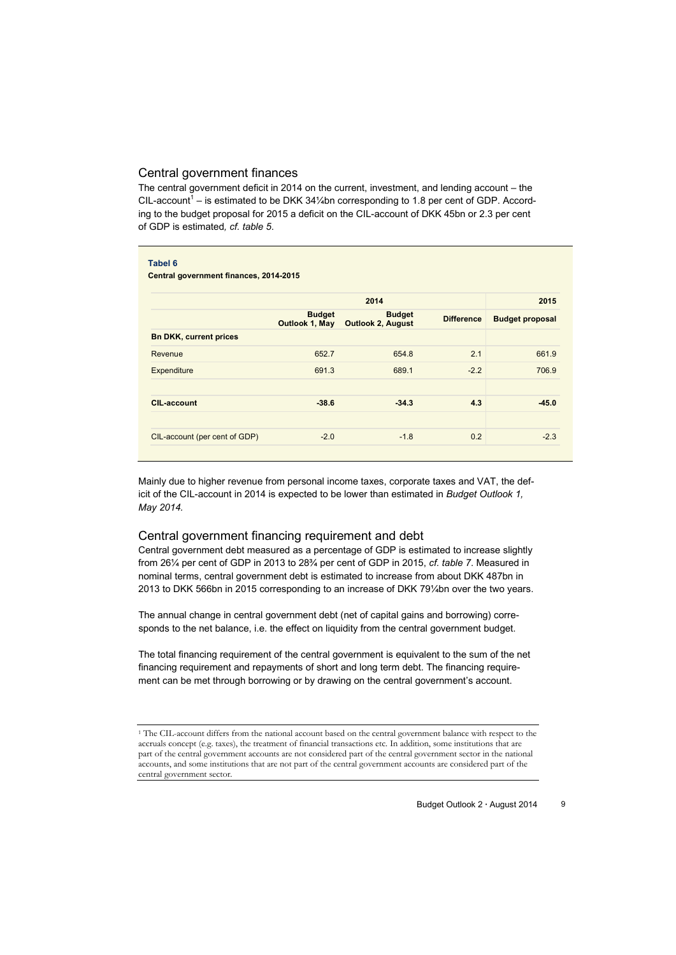#### Central government finances

The central government deficit in 2014 on the current, investment, and lending account – the CIL-account<sup>1</sup> – is estimated to be DKK 34¼bn corresponding to 1.8 per cent of GDP. According to the budget proposal for 2015 a deficit on the CIL-account of DKK 45bn or 2.3 per cent of GDP is estimated*, cf. table 5*.

#### **Tabel 6**

**Central government finances, 2014-2015**

|                               | 2014                            |                                           |                   |                        |  |  |
|-------------------------------|---------------------------------|-------------------------------------------|-------------------|------------------------|--|--|
|                               | <b>Budget</b><br>Outlook 1, May | <b>Budget</b><br><b>Outlook 2, August</b> | <b>Difference</b> | <b>Budget proposal</b> |  |  |
| <b>Bn DKK, current prices</b> |                                 |                                           |                   |                        |  |  |
| Revenue                       | 652.7                           | 654.8                                     | 2.1               | 661.9                  |  |  |
| Expenditure                   | 691.3                           | 689.1                                     | $-2.2$            | 706.9                  |  |  |
| <b>CIL-account</b>            | $-38.6$                         | $-34.3$                                   | 4.3               | $-45.0$                |  |  |
| CIL-account (per cent of GDP) | $-2.0$                          | $-1.8$                                    | 0.2               | $-2.3$                 |  |  |

Mainly due to higher revenue from personal income taxes, corporate taxes and VAT, the deficit of the CIL-account in 2014 is expected to be lower than estimated in *Budget Outlook 1, May 2014.*

#### Central government financing requirement and debt

Central government debt measured as a percentage of GDP is estimated to increase slightly from 26¼ per cent of GDP in 2013 to 28¾ per cent of GDP in 2015, *cf. table 7*. Measured in nominal terms, central government debt is estimated to increase from about DKK 487bn in 2013 to DKK 566bn in 2015 corresponding to an increase of DKK 79¼bn over the two years.

The annual change in central government debt (net of capital gains and borrowing) corresponds to the net balance, i.e. the effect on liquidity from the central government budget.

The total financing requirement of the central government is equivalent to the sum of the net financing requirement and repayments of short and long term debt. The financing requirement can be met through borrowing or by drawing on the central government's account.

<sup>1</sup> The CIL-account differs from the national account based on the central government balance with respect to the accruals concept (e.g. taxes), the treatment of financial transactions etc. In addition, some institutions that are part of the central government accounts are not considered part of the central government sector in the national accounts, and some institutions that are not part of the central government accounts are considered part of the central government sector.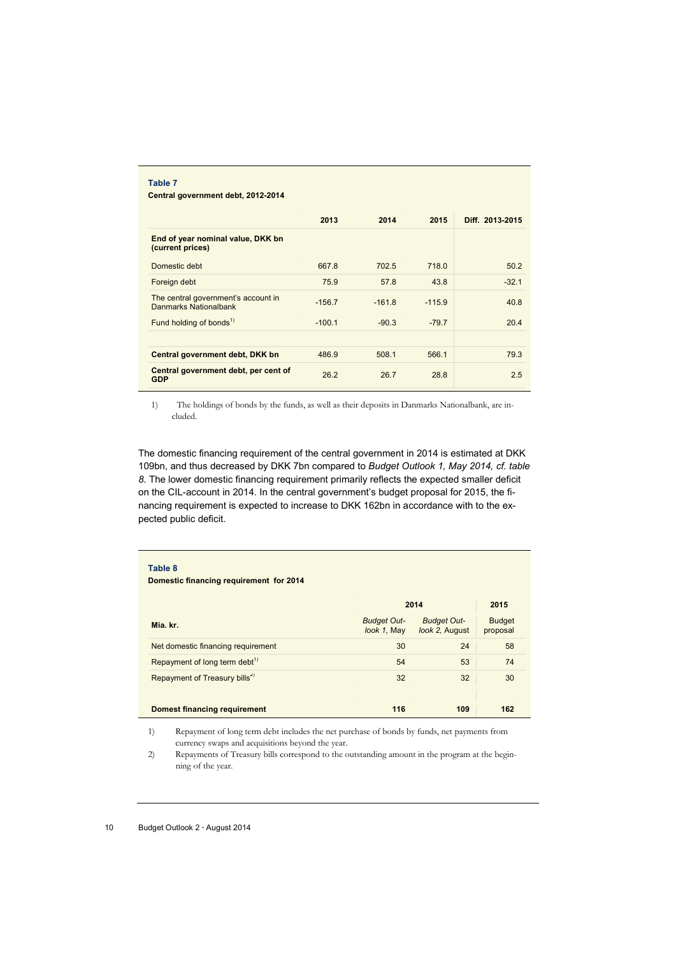#### **Table 7 Central government debt, 2012-2014**

|                                                              | 2013     | 2014     | 2015     | Diff. 2013-2015 |
|--------------------------------------------------------------|----------|----------|----------|-----------------|
| End of year nominal value, DKK bn<br>(current prices)        |          |          |          |                 |
| Domestic debt                                                | 667.8    | 702.5    | 718.0    | 50.2            |
| Foreign debt                                                 | 75.9     | 57.8     | 43.8     | $-32.1$         |
| The central government's account in<br>Danmarks Nationalbank | $-156.7$ | $-161.8$ | $-115.9$ | 40.8            |
| Fund holding of bonds <sup>1)</sup>                          | $-100.1$ | $-90.3$  | $-79.7$  | 20.4            |
| Central government debt, DKK bn                              | 486.9    | 508.1    | 566.1    | 79.3            |
| Central government debt, per cent of<br><b>GDP</b>           | 26.2     | 26.7     | 28.8     | 2.5             |

1) The holdings of bonds by the funds, as well as their deposits in Danmarks Nationalbank, are included.

The domestic financing requirement of the central government in 2014 is estimated at DKK 109bn, and thus decreased by DKK 7bn compared to *Budget Outlook 1, May 2014, cf. table 8.* The lower domestic financing requirement primarily reflects the expected smaller deficit on the CIL-account in 2014. In the central government's budget proposal for 2015, the financing requirement is expected to increase to DKK 162bn in accordance with to the expected public deficit.

#### **Table 8**

 $\overline{a}$ 

#### **Domestic financing requirement for 2014**

|                                           | 2014                              | 2015                                 |                           |
|-------------------------------------------|-----------------------------------|--------------------------------------|---------------------------|
| Mia. kr.                                  | <b>Budget Out-</b><br>look 1, May | <b>Budget Out-</b><br>look 2, August | <b>Budget</b><br>proposal |
| Net domestic financing requirement        | 30                                | 24                                   | 58                        |
| Repayment of long term debt <sup>1)</sup> | 54                                | 53                                   | 74                        |
| Repayment of Treasury bills <sup>2)</sup> | 32                                | 32                                   | 30                        |
|                                           |                                   |                                      |                           |
| <b>Domest financing requirement</b>       | 116                               | 109                                  | 162                       |

1) Repayment of long term debt includes the net purchase of bonds by funds, net payments from currency swaps and acquisitions beyond the year.

2) Repayments of Treasury bills correspond to the outstanding amount in the program at the beginning of the year.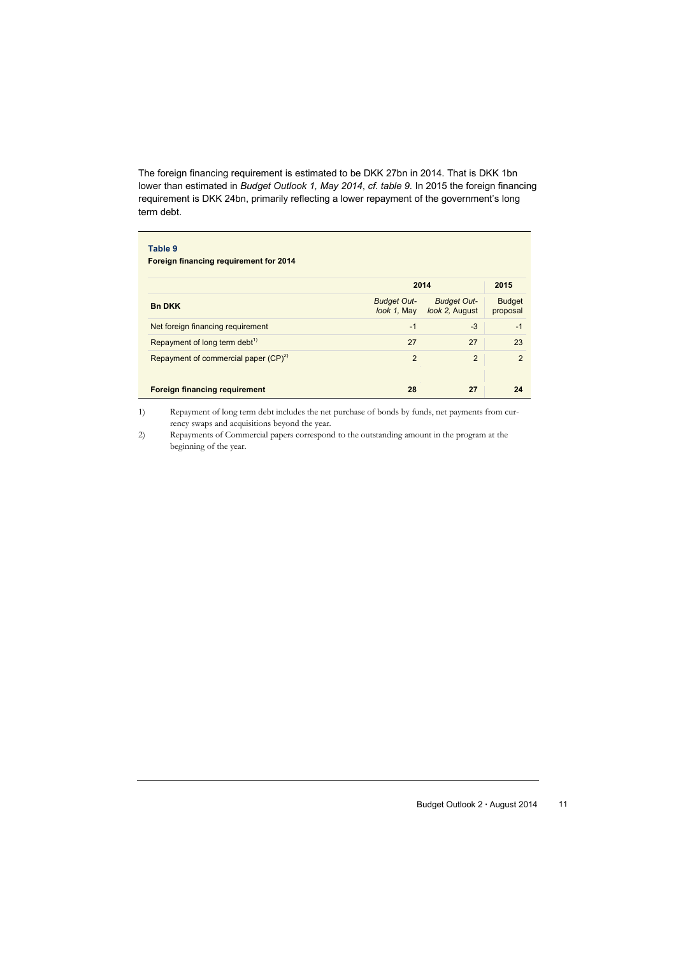The foreign financing requirement is estimated to be DKK 27bn in 2014. That is DKK 1bn lower than estimated in *Budget Outlook 1, May 2014*, *cf. table 9.* In 2015 the foreign financing requirement is DKK 24bn, primarily reflecting a lower repayment of the government's long term debt.

| Table 9<br><b>Foreign financing requirement for 2014</b> |                                   |                                      |                           |
|----------------------------------------------------------|-----------------------------------|--------------------------------------|---------------------------|
|                                                          | 2014                              | 2015                                 |                           |
| <b>Bn DKK</b>                                            | <b>Budget Out-</b><br>look 1, May | <b>Budget Out-</b><br>look 2, August | <b>Budget</b><br>proposal |
| Net foreign financing requirement                        | $-1$                              | $-3$                                 | $-1$                      |
| Repayment of long term debt <sup>1)</sup>                | 27                                | 27                                   | 23                        |
| Repayment of commercial paper $(CP)^{2}$                 | 2                                 | $\overline{2}$                       | $\overline{2}$            |
| <b>Foreign financing requirement</b>                     | 28                                | 27                                   | 24                        |

1) Repayment of long term debt includes the net purchase of bonds by funds, net payments from currency swaps and acquisitions beyond the year.

2) Repayments of Commercial papers correspond to the outstanding amount in the program at the beginning of the year.

Budget Outlook 2 **∙** August 2014 11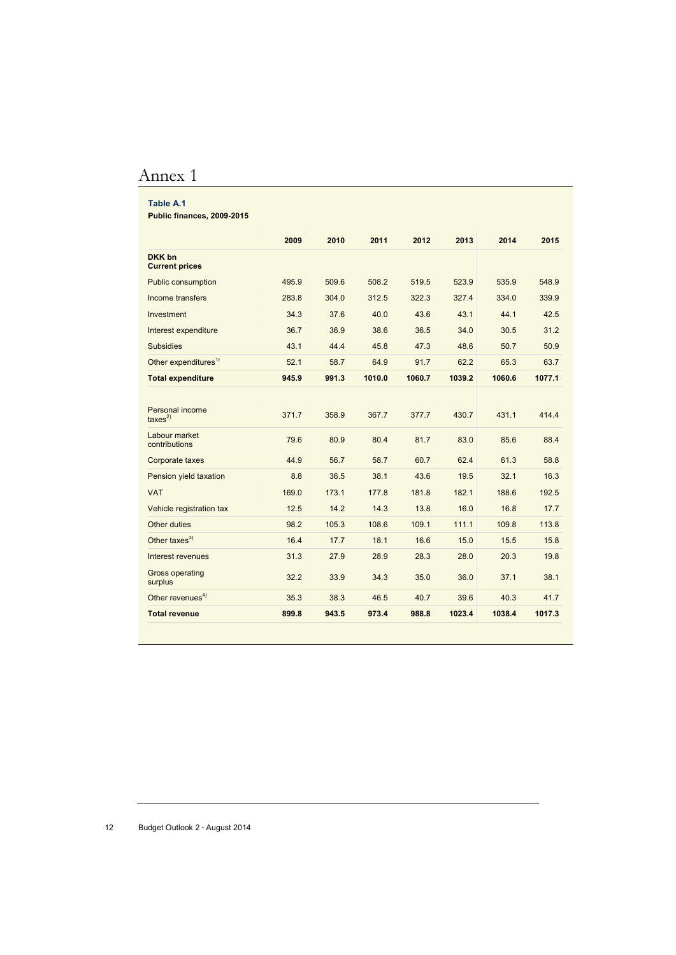## Annex 1

#### **Table A.1**

**Public finances, 2009-2015**

|                                        | 2009  | 2010  | 2011   | 2012   | 2013   | 2014   | 2015   |
|----------------------------------------|-------|-------|--------|--------|--------|--------|--------|
| DKK bn<br><b>Current prices</b>        |       |       |        |        |        |        |        |
| <b>Public consumption</b>              | 495.9 | 509.6 | 508.2  | 519.5  | 523.9  | 535.9  | 548.9  |
| Income transfers                       | 283.8 | 304.0 | 312.5  | 322.3  | 327.4  | 334.0  | 339.9  |
| Investment                             | 34.3  | 37.6  | 40.0   | 43.6   | 43.1   | 44.1   | 42.5   |
| Interest expenditure                   | 36.7  | 36.9  | 38.6   | 36.5   | 34.0   | 30.5   | 31.2   |
| <b>Subsidies</b>                       | 43.1  | 44.4  | 45.8   | 47.3   | 48.6   | 50.7   | 50.9   |
| Other expenditures <sup>1)</sup>       | 52.1  | 58.7  | 64.9   | 91.7   | 62.2   | 65.3   | 63.7   |
| <b>Total expenditure</b>               | 945.9 | 991.3 | 1010.0 | 1060.7 | 1039.2 | 1060.6 | 1077.1 |
|                                        |       |       |        |        |        |        |        |
| Personal income<br>$\text{taxes}^{2)}$ | 371.7 | 358.9 | 367.7  | 377.7  | 430.7  | 431.1  | 414.4  |
| Labour market<br>contributions         | 79.6  | 80.9  | 80.4   | 81.7   | 83.0   | 85.6   | 88.4   |
| Corporate taxes                        | 44.9  | 56.7  | 58.7   | 60.7   | 62.4   | 61.3   | 58.8   |
| Pension yield taxation                 | 8.8   | 36.5  | 38.1   | 43.6   | 19.5   | 32.1   | 16.3   |
| <b>VAT</b>                             | 169.0 | 173.1 | 177.8  | 181.8  | 182.1  | 188.6  | 192.5  |
| Vehicle registration tax               | 12.5  | 14.2  | 14.3   | 13.8   | 16.0   | 16.8   | 17.7   |
| Other duties                           | 98.2  | 105.3 | 108.6  | 109.1  | 111.1  | 109.8  | 113.8  |
| Other taxes $^{3)}$                    | 16.4  | 17.7  | 18.1   | 16.6   | 15.0   | 15.5   | 15.8   |
| Interest revenues                      | 31.3  | 27.9  | 28.9   | 28.3   | 28.0   | 20.3   | 19.8   |
| <b>Gross operating</b><br>surplus      | 32.2  | 33.9  | 34.3   | 35.0   | 36.0   | 37.1   | 38.1   |
| Other revenues <sup>4)</sup>           | 35.3  | 38.3  | 46.5   | 40.7   | 39.6   | 40.3   | 41.7   |
| <b>Total revenue</b>                   | 899.8 | 943.5 | 973.4  | 988.8  | 1023.4 | 1038.4 | 1017.3 |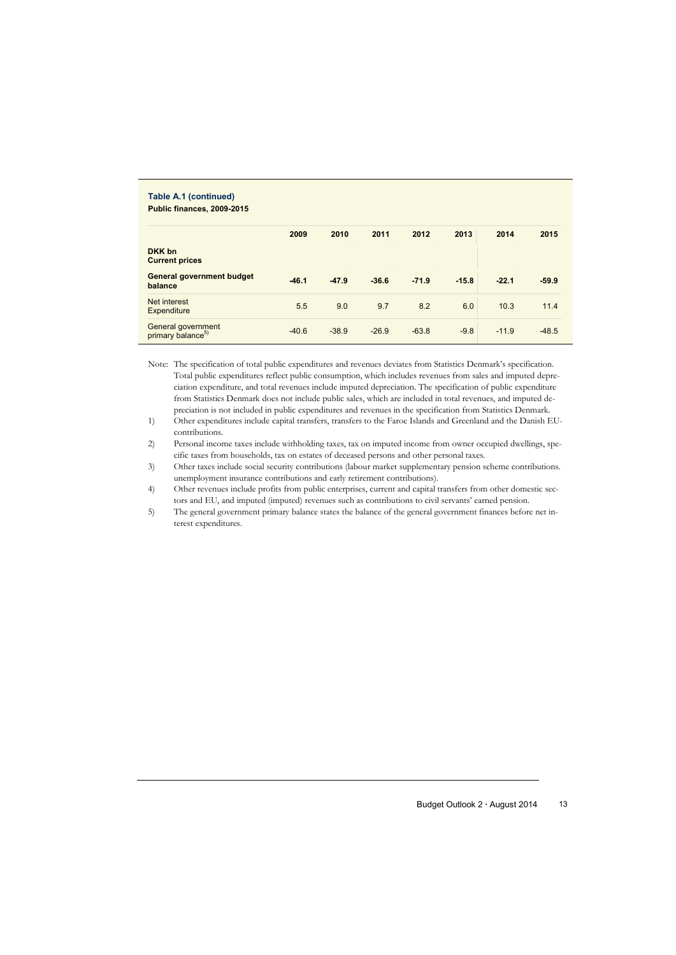| Table A.1 (continued)<br>Public finances, 2009-2015 |         |         |         |         |         |         |         |
|-----------------------------------------------------|---------|---------|---------|---------|---------|---------|---------|
|                                                     | 2009    | 2010    | 2011    | 2012    | 2013    | 2014    | 2015    |
| DKK bn<br><b>Current prices</b>                     |         |         |         |         |         |         |         |
| <b>General government budget</b><br>balance         | $-46.1$ | $-47.9$ | $-36.6$ | $-71.9$ | $-15.8$ | $-22.1$ | $-59.9$ |
| Net interest<br><b>Expenditure</b>                  | 5.5     | 9.0     | 9.7     | 8.2     | 6.0     | 10.3    | 11.4    |
| General government<br>primary balance <sup>5)</sup> | $-40.6$ | $-38.9$ | $-26.9$ | $-63.8$ | $-9.8$  | $-11.9$ | $-48.5$ |

Note: The specification of total public expenditures and revenues deviates from Statistics Denmark's specification. Total public expenditures reflect public consumption, which includes revenues from sales and imputed depreciation expenditure, and total revenues include imputed depreciation. The specification of public expenditure from Statistics Denmark does not include public sales, which are included in total revenues, and imputed depreciation is not included in public expenditures and revenues in the specification from Statistics Denmark.

1) Other expenditures include capital transfers, transfers to the Faroe Islands and Greenland and the Danish EUcontributions.

2) Personal income taxes include withholding taxes, tax on imputed income from owner occupied dwellings, specific taxes from households, tax on estates of deceased persons and other personal taxes.

3) Other taxes include social security contributions (labour market supplementary pension scheme contributions. unemployment insurance contributions and early retirement contributions).

4) Other revenues include profits from public enterprises, current and capital transfers from other domestic sectors and EU, and imputed (imputed) revenues such as contributions to civil servants' earned pension.

5) The general government primary balance states the balance of the general government finances before net interest expenditures.